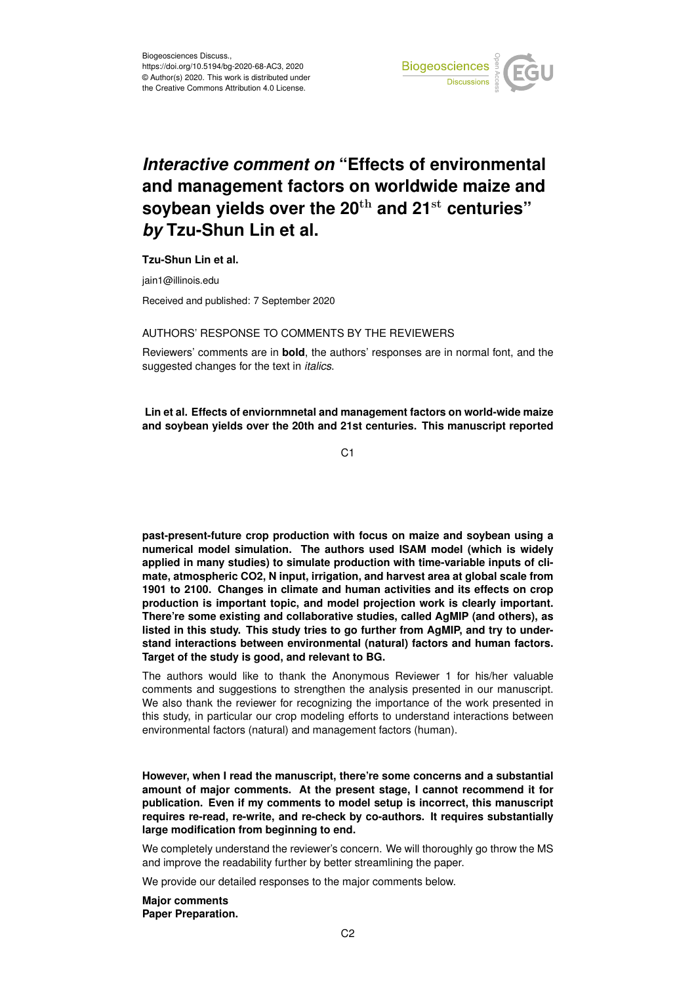

## *Interactive comment on* **"Effects of environmental and management factors on worldwide maize and soybean yields over the 20**th **and 21**st **centuries"** *by* **Tzu-Shun Lin et al.**

## **Tzu-Shun Lin et al.**

jain1@illinois.edu

Received and published: 7 September 2020

## AUTHORS' RESPONSE TO COMMENTS BY THE REVIEWERS

Reviewers' comments are in **bold**, the authors' responses are in normal font, and the suggested changes for the text in *italics*.

**Lin et al. Effects of enviornmnetal and management factors on world-wide maize and soybean yields over the 20th and 21st centuries. This manuscript reported**

C<sub>1</sub>

**past-present-future crop production with focus on maize and soybean using a numerical model simulation. The authors used ISAM model (which is widely applied in many studies) to simulate production with time-variable inputs of climate, atmospheric CO2, N input, irrigation, and harvest area at global scale from 1901 to 2100. Changes in climate and human activities and its effects on crop production is important topic, and model projection work is clearly important. There're some existing and collaborative studies, called AgMIP (and others), as listed in this study. This study tries to go further from AgMIP, and try to understand interactions between environmental (natural) factors and human factors. Target of the study is good, and relevant to BG.**

The authors would like to thank the Anonymous Reviewer 1 for his/her valuable comments and suggestions to strengthen the analysis presented in our manuscript. We also thank the reviewer for recognizing the importance of the work presented in this study, in particular our crop modeling efforts to understand interactions between environmental factors (natural) and management factors (human).

**However, when I read the manuscript, there're some concerns and a substantial amount of major comments. At the present stage, I cannot recommend it for publication. Even if my comments to model setup is incorrect, this manuscript requires re-read, re-write, and re-check by co-authors. It requires substantially large modification from beginning to end.**

We completely understand the reviewer's concern. We will thoroughly go throw the MS and improve the readability further by better streamlining the paper.

We provide our detailed responses to the major comments below.

**Major comments Paper Preparation.**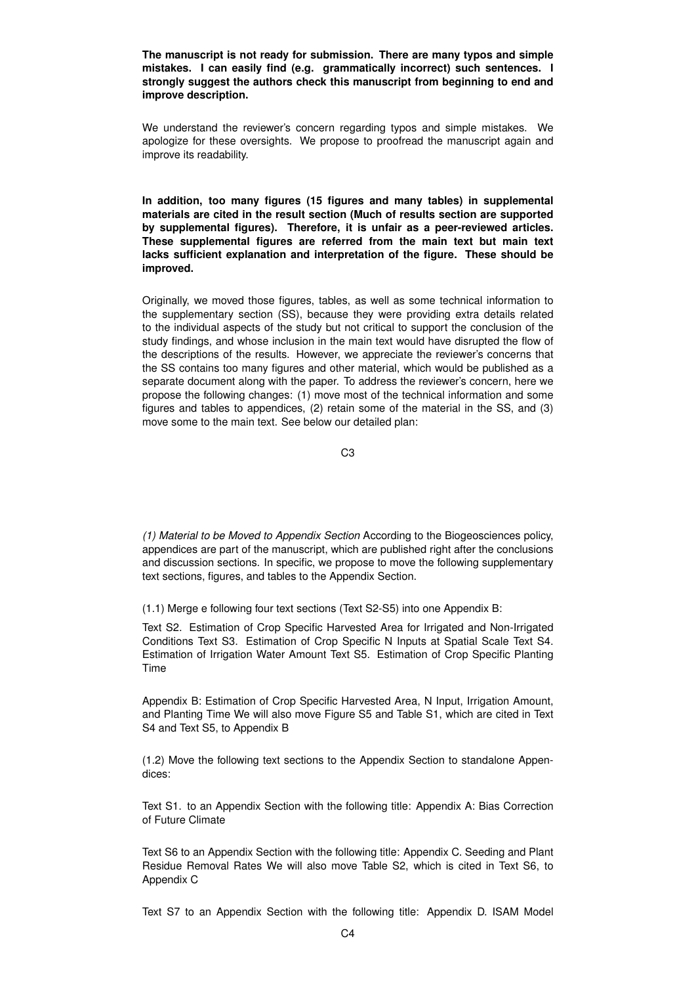**The manuscript is not ready for submission. There are many typos and simple mistakes. I can easily find (e.g. grammatically incorrect) such sentences. I strongly suggest the authors check this manuscript from beginning to end and improve description.**

We understand the reviewer's concern regarding typos and simple mistakes. We apologize for these oversights. We propose to proofread the manuscript again and improve its readability.

**In addition, too many figures (15 figures and many tables) in supplemental materials are cited in the result section (Much of results section are supported by supplemental figures). Therefore, it is unfair as a peer-reviewed articles. These supplemental figures are referred from the main text but main text lacks sufficient explanation and interpretation of the figure. These should be improved.**

Originally, we moved those figures, tables, as well as some technical information to the supplementary section (SS), because they were providing extra details related to the individual aspects of the study but not critical to support the conclusion of the study findings, and whose inclusion in the main text would have disrupted the flow of the descriptions of the results. However, we appreciate the reviewer's concerns that the SS contains too many figures and other material, which would be published as a separate document along with the paper. To address the reviewer's concern, here we propose the following changes: (1) move most of the technical information and some figures and tables to appendices, (2) retain some of the material in the SS, and (3) move some to the main text. See below our detailed plan:

C3

*(1) Material to be Moved to Appendix Section* According to the Biogeosciences policy, appendices are part of the manuscript, which are published right after the conclusions and discussion sections. In specific, we propose to move the following supplementary text sections, figures, and tables to the Appendix Section.

(1.1) Merge e following four text sections (Text S2-S5) into one Appendix B:

Text S2. Estimation of Crop Specific Harvested Area for Irrigated and Non-Irrigated Conditions Text S3. Estimation of Crop Specific N Inputs at Spatial Scale Text S4. Estimation of Irrigation Water Amount Text S5. Estimation of Crop Specific Planting Time

Appendix B: Estimation of Crop Specific Harvested Area, N Input, Irrigation Amount, and Planting Time We will also move Figure S5 and Table S1, which are cited in Text S4 and Text S5, to Appendix B

(1.2) Move the following text sections to the Appendix Section to standalone Appendices:

Text S1. to an Appendix Section with the following title: Appendix A: Bias Correction of Future Climate

Text S6 to an Appendix Section with the following title: Appendix C. Seeding and Plant Residue Removal Rates We will also move Table S2, which is cited in Text S6, to Appendix C

Text S7 to an Appendix Section with the following title: Appendix D. ISAM Model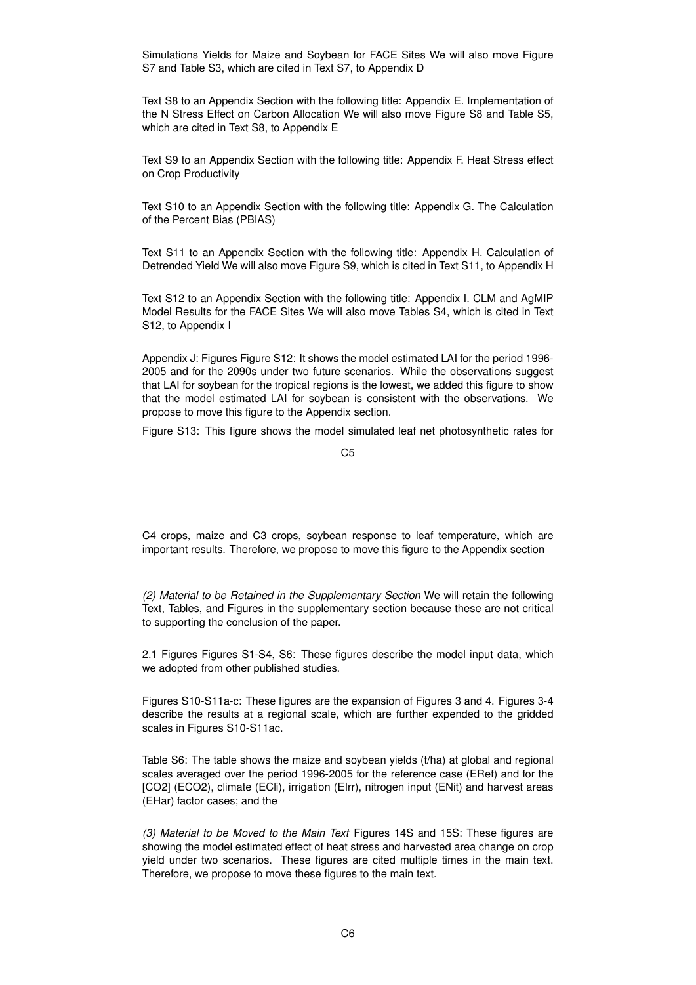Simulations Yields for Maize and Soybean for FACE Sites We will also move Figure S7 and Table S3, which are cited in Text S7, to Appendix D

Text S8 to an Appendix Section with the following title: Appendix E. Implementation of the N Stress Effect on Carbon Allocation We will also move Figure S8 and Table S5, which are cited in Text S8, to Appendix E

Text S9 to an Appendix Section with the following title: Appendix F. Heat Stress effect on Crop Productivity

Text S10 to an Appendix Section with the following title: Appendix G. The Calculation of the Percent Bias (PBIAS)

Text S11 to an Appendix Section with the following title: Appendix H. Calculation of Detrended Yield We will also move Figure S9, which is cited in Text S11, to Appendix H

Text S12 to an Appendix Section with the following title: Appendix I. CLM and AgMIP Model Results for the FACE Sites We will also move Tables S4, which is cited in Text S12, to Appendix I

Appendix J: Figures Figure S12: It shows the model estimated LAI for the period 1996- 2005 and for the 2090s under two future scenarios. While the observations suggest that LAI for soybean for the tropical regions is the lowest, we added this figure to show that the model estimated LAI for soybean is consistent with the observations. We propose to move this figure to the Appendix section.

Figure S13: This figure shows the model simulated leaf net photosynthetic rates for

C4 crops, maize and C3 crops, soybean response to leaf temperature, which are important results. Therefore, we propose to move this figure to the Appendix section

*(2) Material to be Retained in the Supplementary Section* We will retain the following Text, Tables, and Figures in the supplementary section because these are not critical to supporting the conclusion of the paper.

2.1 Figures Figures S1-S4, S6: These figures describe the model input data, which we adopted from other published studies.

Figures S10-S11a-c: These figures are the expansion of Figures 3 and 4. Figures 3-4 describe the results at a regional scale, which are further expended to the gridded scales in Figures S10-S11ac.

Table S6: The table shows the maize and soybean yields (t/ha) at global and regional scales averaged over the period 1996-2005 for the reference case (ERef) and for the [CO2] (ECO2), climate (ECli), irrigation (EIrr), nitrogen input (ENit) and harvest areas (EHar) factor cases; and the

*(3) Material to be Moved to the Main Text* Figures 14S and 15S: These figures are showing the model estimated effect of heat stress and harvested area change on crop yield under two scenarios. These figures are cited multiple times in the main text. Therefore, we propose to move these figures to the main text.

C5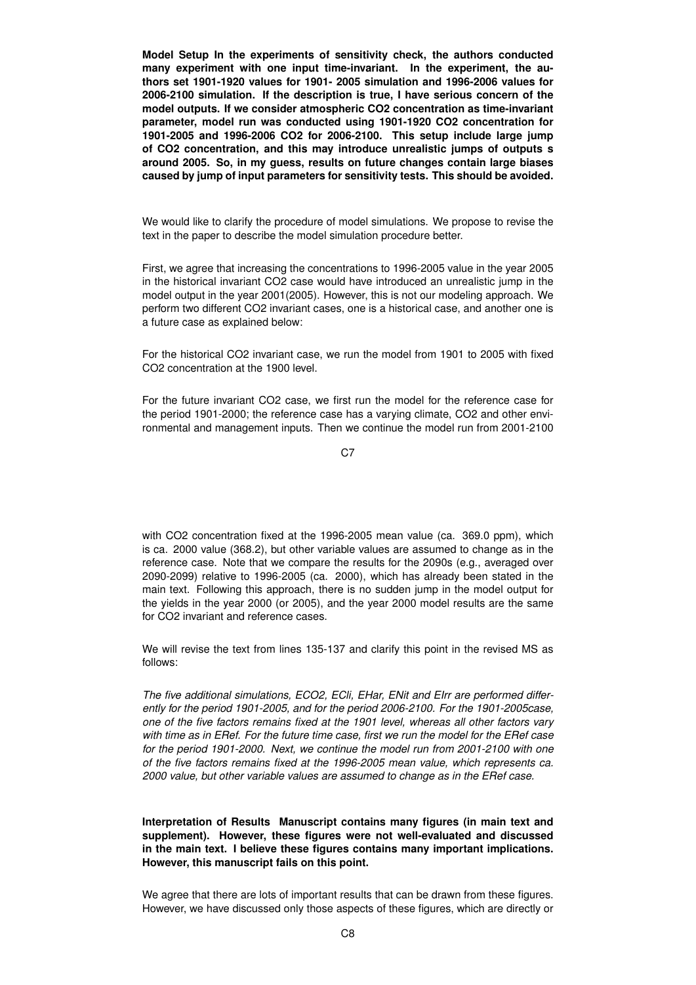**Model Setup In the experiments of sensitivity check, the authors conducted many experiment with one input time-invariant. In the experiment, the authors set 1901-1920 values for 1901- 2005 simulation and 1996-2006 values for 2006-2100 simulation. If the description is true, I have serious concern of the model outputs. If we consider atmospheric CO2 concentration as time-invariant parameter, model run was conducted using 1901-1920 CO2 concentration for 1901-2005 and 1996-2006 CO2 for 2006-2100. This setup include large jump of CO2 concentration, and this may introduce unrealistic jumps of outputs s around 2005. So, in my guess, results on future changes contain large biases caused by jump of input parameters for sensitivity tests. This should be avoided.**

We would like to clarify the procedure of model simulations. We propose to revise the text in the paper to describe the model simulation procedure better.

First, we agree that increasing the concentrations to 1996-2005 value in the year 2005 in the historical invariant CO2 case would have introduced an unrealistic jump in the model output in the year 2001(2005). However, this is not our modeling approach. We perform two different CO2 invariant cases, one is a historical case, and another one is a future case as explained below:

For the historical CO2 invariant case, we run the model from 1901 to 2005 with fixed CO2 concentration at the 1900 level.

For the future invariant CO2 case, we first run the model for the reference case for the period 1901-2000; the reference case has a varying climate, CO2 and other environmental and management inputs. Then we continue the model run from 2001-2100

C<sub>7</sub>

with CO2 concentration fixed at the 1996-2005 mean value (ca. 369.0 ppm), which is ca. 2000 value (368.2), but other variable values are assumed to change as in the reference case. Note that we compare the results for the 2090s (e.g., averaged over 2090-2099) relative to 1996-2005 (ca. 2000), which has already been stated in the main text. Following this approach, there is no sudden jump in the model output for the yields in the year 2000 (or 2005), and the year 2000 model results are the same for CO2 invariant and reference cases.

We will revise the text from lines 135-137 and clarify this point in the revised MS as follows:

*The five additional simulations, ECO2, ECli, EHar, ENit and EIrr are performed differently for the period 1901-2005, and for the period 2006-2100. For the 1901-2005case, one of the five factors remains fixed at the 1901 level, whereas all other factors vary with time as in ERef. For the future time case, first we run the model for the ERef case for the period 1901-2000. Next, we continue the model run from 2001-2100 with one of the five factors remains fixed at the 1996-2005 mean value, which represents ca. 2000 value, but other variable values are assumed to change as in the ERef case.*

**Interpretation of Results Manuscript contains many figures (in main text and supplement). However, these figures were not well-evaluated and discussed in the main text. I believe these figures contains many important implications. However, this manuscript fails on this point.**

We agree that there are lots of important results that can be drawn from these figures. However, we have discussed only those aspects of these figures, which are directly or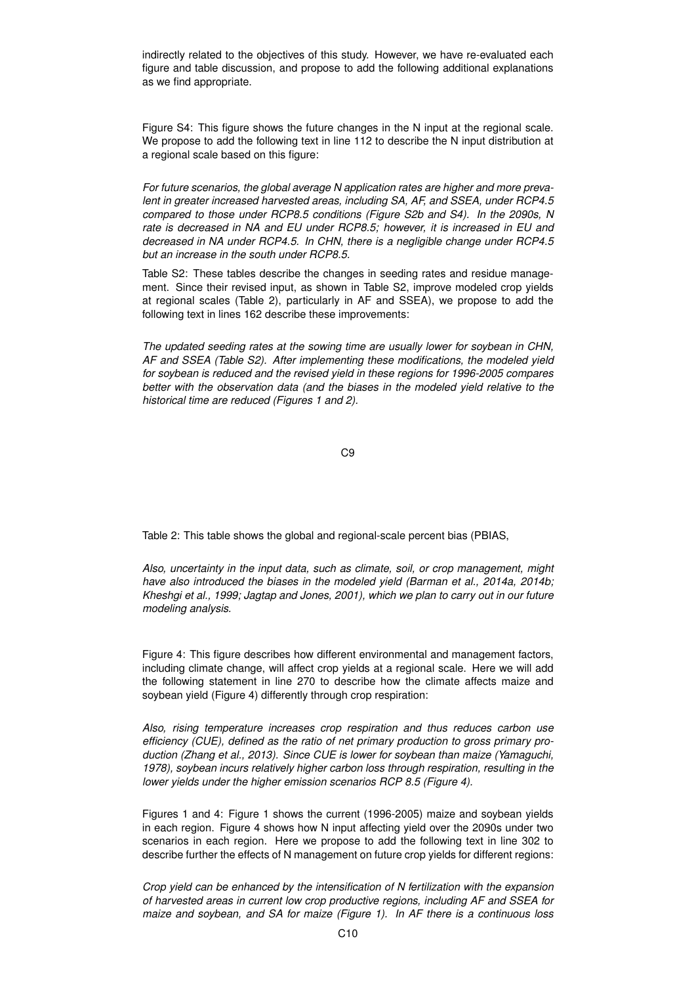indirectly related to the objectives of this study. However, we have re-evaluated each figure and table discussion, and propose to add the following additional explanations as we find appropriate.

Figure S4: This figure shows the future changes in the N input at the regional scale. We propose to add the following text in line 112 to describe the N input distribution at a regional scale based on this figure:

*For future scenarios, the global average N application rates are higher and more prevalent in greater increased harvested areas, including SA, AF, and SSEA, under RCP4.5 compared to those under RCP8.5 conditions (Figure S2b and S4). In the 2090s, N rate is decreased in NA and EU under RCP8.5; however, it is increased in EU and decreased in NA under RCP4.5. In CHN, there is a negligible change under RCP4.5 but an increase in the south under RCP8.5.*

Table S2: These tables describe the changes in seeding rates and residue management. Since their revised input, as shown in Table S2, improve modeled crop yields at regional scales (Table 2), particularly in AF and SSEA), we propose to add the following text in lines 162 describe these improvements:

*The updated seeding rates at the sowing time are usually lower for soybean in CHN, AF and SSEA (Table S2). After implementing these modifications, the modeled yield for soybean is reduced and the revised yield in these regions for 1996-2005 compares better with the observation data (and the biases in the modeled yield relative to the historical time are reduced (Figures 1 and 2).*

C9

Table 2: This table shows the global and regional-scale percent bias (PBIAS,

*Also, uncertainty in the input data, such as climate, soil, or crop management, might have also introduced the biases in the modeled yield (Barman et al., 2014a, 2014b; Kheshgi et al., 1999; Jagtap and Jones, 2001), which we plan to carry out in our future modeling analysis.*

Figure 4: This figure describes how different environmental and management factors, including climate change, will affect crop yields at a regional scale. Here we will add the following statement in line 270 to describe how the climate affects maize and soybean yield (Figure 4) differently through crop respiration:

*Also, rising temperature increases crop respiration and thus reduces carbon use efficiency (CUE), defined as the ratio of net primary production to gross primary production (Zhang et al., 2013). Since CUE is lower for soybean than maize (Yamaguchi, 1978), soybean incurs relatively higher carbon loss through respiration, resulting in the lower yields under the higher emission scenarios RCP 8.5 (Figure 4).*

Figures 1 and 4: Figure 1 shows the current (1996-2005) maize and soybean yields in each region. Figure 4 shows how N input affecting yield over the 2090s under two scenarios in each region. Here we propose to add the following text in line 302 to describe further the effects of N management on future crop yields for different regions:

*Crop yield can be enhanced by the intensification of N fertilization with the expansion of harvested areas in current low crop productive regions, including AF and SSEA for maize and soybean, and SA for maize (Figure 1). In AF there is a continuous loss*